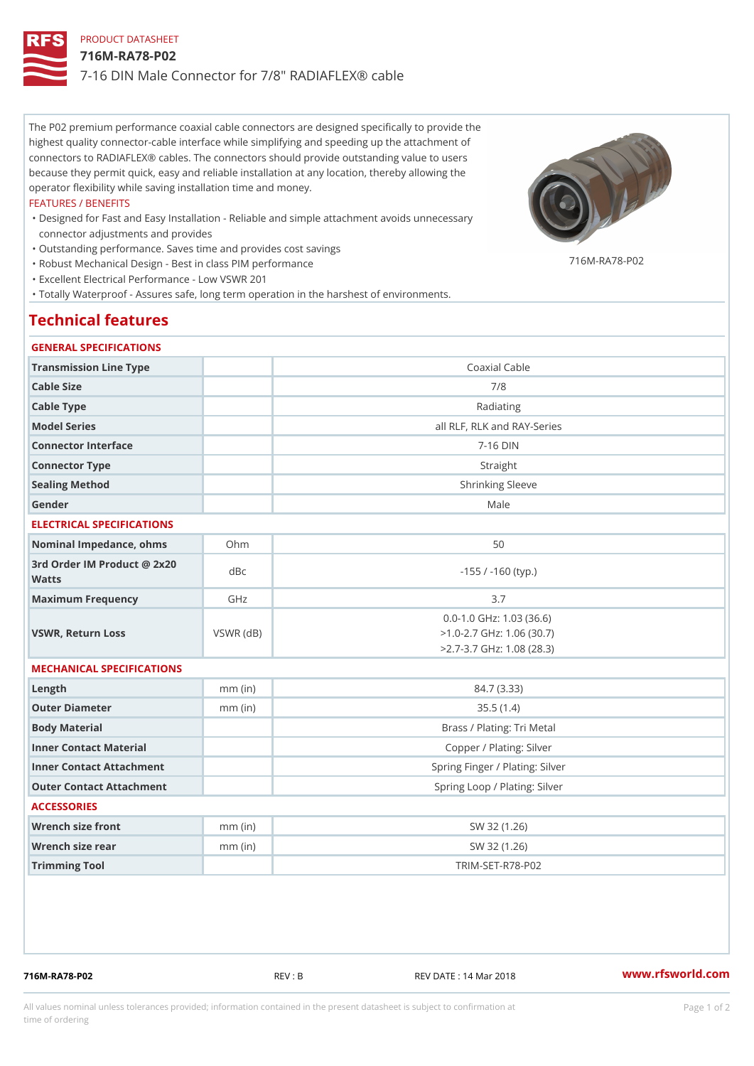# PRODUCT DATASHEET 716M-RA78-P02 7-16 DIN Male Connector for 7/8" RADIAFLEX® cable

The P02 premium performance coaxial cable connectors are designed specifically to provide the highest quality connector-cable interface while simplifying and speeding up the attachment of connectors to RADIAFLEX® cables. The connectors should provide outstanding value to users because they permit quick, easy and reliable installation at any location, thereby allowing the operator flexibility while saving installation time and money.

#### FEATURES / BENEFITS

- Designed for Fast and Easy Installation Reliable and simple attachment avoids unnecessary " connector adjustments and provides
- "Outstanding performance. Saves time and provides cost savings

716M-RA78-P02

 "Robust Mechanical Design - Best in class PIM performance "Excellent Electrical Performance - Low VSWR 201

"Totally Waterproof - Assures safe, long term operation in the harshest of environments.

## Technical features

#### GENERAL SPECIFICATIONS

| Transmission Line Type<br>Coaxial Cable<br>Cable Size<br>7/8<br>Cable Type<br>Radiating<br>Model Series<br>all RLF, RLK and RAY-Series<br>$7 - 16$ DIN<br>Connector Interface<br>Connector Type<br>Straight<br>Sealing Method<br>Shrinking Sleeve<br>Gender<br>Male<br>ELECTRICAL SPECIFICATIONS<br>Nominal Impedance, ohins Ohm<br>50<br>3rd Order IM Product @ 2x20<br>dBc<br>$-155$ / $-160$ (typ.)<br>Watts<br>GHz<br>Maximum Frequency<br>3.7<br>$0.0 - 1.0$ GHz: $1.03$ (36.6)<br>$>1.0 - 2.7$ GHz: 1.06 (30.7)<br>VSWR, Return Loss<br>$VSWR$ ( $dB$ )<br>$> 2.7 - 3.7$ GHz: 1.08 (28.3)<br>MECHANICAL SPECIFICATIONS<br>$L$ ength<br>84.7 (3.33)<br>$mm$ (in)<br>Outer Diameter<br>35.5(1.4)<br>$mm$ (in)<br>Body Material<br>Brass / Plating: Tri Metal<br>Inner Contact Material<br>Copper / Plating: Silver<br>Spring Finger / Plating: Silver<br>Inner Contact Attachment<br>Spring Loop / Plating: Silver<br>Outer Contact Attachment<br><b>ACCESSORIES</b><br>Wrench size front<br>$mm$ (in)<br>SW 32 (1.26)<br>Wrench size rear<br>$mm$ (in)<br>SW 32 (1.26)<br>Trimming Tool<br>TRIM-SET-R78-P02 |  |  |  |  |
|------------------------------------------------------------------------------------------------------------------------------------------------------------------------------------------------------------------------------------------------------------------------------------------------------------------------------------------------------------------------------------------------------------------------------------------------------------------------------------------------------------------------------------------------------------------------------------------------------------------------------------------------------------------------------------------------------------------------------------------------------------------------------------------------------------------------------------------------------------------------------------------------------------------------------------------------------------------------------------------------------------------------------------------------------------------------------------------------------------------|--|--|--|--|
|                                                                                                                                                                                                                                                                                                                                                                                                                                                                                                                                                                                                                                                                                                                                                                                                                                                                                                                                                                                                                                                                                                                  |  |  |  |  |
|                                                                                                                                                                                                                                                                                                                                                                                                                                                                                                                                                                                                                                                                                                                                                                                                                                                                                                                                                                                                                                                                                                                  |  |  |  |  |
|                                                                                                                                                                                                                                                                                                                                                                                                                                                                                                                                                                                                                                                                                                                                                                                                                                                                                                                                                                                                                                                                                                                  |  |  |  |  |
|                                                                                                                                                                                                                                                                                                                                                                                                                                                                                                                                                                                                                                                                                                                                                                                                                                                                                                                                                                                                                                                                                                                  |  |  |  |  |
|                                                                                                                                                                                                                                                                                                                                                                                                                                                                                                                                                                                                                                                                                                                                                                                                                                                                                                                                                                                                                                                                                                                  |  |  |  |  |
|                                                                                                                                                                                                                                                                                                                                                                                                                                                                                                                                                                                                                                                                                                                                                                                                                                                                                                                                                                                                                                                                                                                  |  |  |  |  |
|                                                                                                                                                                                                                                                                                                                                                                                                                                                                                                                                                                                                                                                                                                                                                                                                                                                                                                                                                                                                                                                                                                                  |  |  |  |  |
|                                                                                                                                                                                                                                                                                                                                                                                                                                                                                                                                                                                                                                                                                                                                                                                                                                                                                                                                                                                                                                                                                                                  |  |  |  |  |
|                                                                                                                                                                                                                                                                                                                                                                                                                                                                                                                                                                                                                                                                                                                                                                                                                                                                                                                                                                                                                                                                                                                  |  |  |  |  |
|                                                                                                                                                                                                                                                                                                                                                                                                                                                                                                                                                                                                                                                                                                                                                                                                                                                                                                                                                                                                                                                                                                                  |  |  |  |  |
|                                                                                                                                                                                                                                                                                                                                                                                                                                                                                                                                                                                                                                                                                                                                                                                                                                                                                                                                                                                                                                                                                                                  |  |  |  |  |
|                                                                                                                                                                                                                                                                                                                                                                                                                                                                                                                                                                                                                                                                                                                                                                                                                                                                                                                                                                                                                                                                                                                  |  |  |  |  |
|                                                                                                                                                                                                                                                                                                                                                                                                                                                                                                                                                                                                                                                                                                                                                                                                                                                                                                                                                                                                                                                                                                                  |  |  |  |  |
|                                                                                                                                                                                                                                                                                                                                                                                                                                                                                                                                                                                                                                                                                                                                                                                                                                                                                                                                                                                                                                                                                                                  |  |  |  |  |
|                                                                                                                                                                                                                                                                                                                                                                                                                                                                                                                                                                                                                                                                                                                                                                                                                                                                                                                                                                                                                                                                                                                  |  |  |  |  |
|                                                                                                                                                                                                                                                                                                                                                                                                                                                                                                                                                                                                                                                                                                                                                                                                                                                                                                                                                                                                                                                                                                                  |  |  |  |  |
|                                                                                                                                                                                                                                                                                                                                                                                                                                                                                                                                                                                                                                                                                                                                                                                                                                                                                                                                                                                                                                                                                                                  |  |  |  |  |
|                                                                                                                                                                                                                                                                                                                                                                                                                                                                                                                                                                                                                                                                                                                                                                                                                                                                                                                                                                                                                                                                                                                  |  |  |  |  |
|                                                                                                                                                                                                                                                                                                                                                                                                                                                                                                                                                                                                                                                                                                                                                                                                                                                                                                                                                                                                                                                                                                                  |  |  |  |  |
|                                                                                                                                                                                                                                                                                                                                                                                                                                                                                                                                                                                                                                                                                                                                                                                                                                                                                                                                                                                                                                                                                                                  |  |  |  |  |
|                                                                                                                                                                                                                                                                                                                                                                                                                                                                                                                                                                                                                                                                                                                                                                                                                                                                                                                                                                                                                                                                                                                  |  |  |  |  |
|                                                                                                                                                                                                                                                                                                                                                                                                                                                                                                                                                                                                                                                                                                                                                                                                                                                                                                                                                                                                                                                                                                                  |  |  |  |  |
|                                                                                                                                                                                                                                                                                                                                                                                                                                                                                                                                                                                                                                                                                                                                                                                                                                                                                                                                                                                                                                                                                                                  |  |  |  |  |
|                                                                                                                                                                                                                                                                                                                                                                                                                                                                                                                                                                                                                                                                                                                                                                                                                                                                                                                                                                                                                                                                                                                  |  |  |  |  |

716M-RA78-P02 REV : B REV DATE : 14 Mar 2018 [www.](https://www.rfsworld.com)rfsworld.com